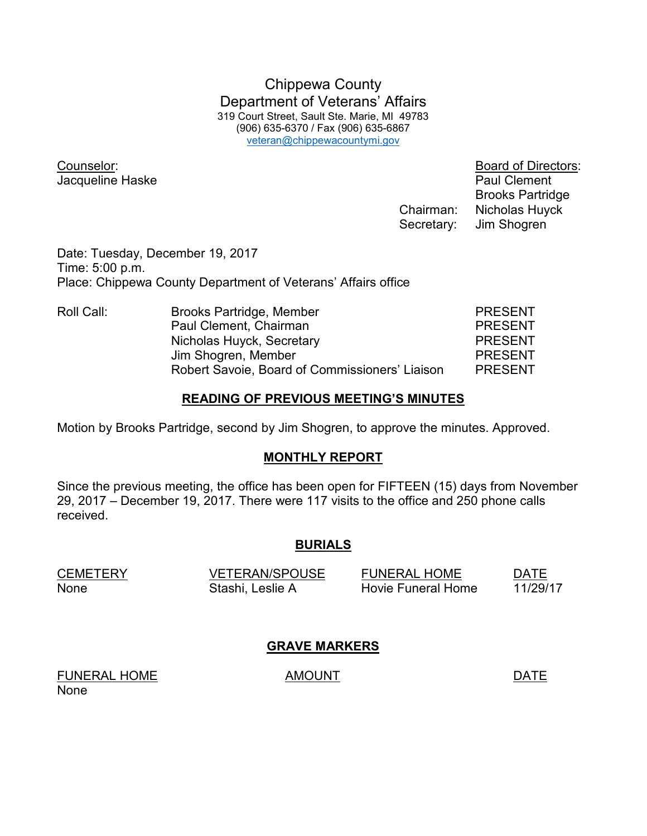Chippewa County Department of Veterans' Affairs 319 Court Street, Sault Ste. Marie, MI 49783 (906) 635-6370 / Fax (906) 635-6867 veteran@chippewacountymi.gov

Jacqueline Haske **Paul Clement** 

Counselor: Board of Directors: Brooks Partridge Chairman: Nicholas Huyck Secretary: Jim Shogren

Date: Tuesday, December 19, 2017 Time: 5:00 p.m. Place: Chippewa County Department of Veterans' Affairs office

| Roll Call: | Brooks Partridge, Member                       | <b>PRESENT</b> |
|------------|------------------------------------------------|----------------|
|            | Paul Clement, Chairman                         | <b>PRESENT</b> |
|            | Nicholas Huyck, Secretary                      | <b>PRESENT</b> |
|            | Jim Shogren, Member                            | <b>PRESENT</b> |
|            | Robert Savoie, Board of Commissioners' Liaison | <b>PRESENT</b> |

#### **READING OF PREVIOUS MEETING'S MINUTES**

Motion by Brooks Partridge, second by Jim Shogren, to approve the minutes. Approved.

## **MONTHLY REPORT**

Since the previous meeting, the office has been open for FIFTEEN (15) days from November 29, 2017 – December 19, 2017. There were 117 visits to the office and 250 phone calls received.

## **BURIALS**

| <b>CEMETERY</b> | <b>VETERAN/SPOUSE</b> | <b>FUNERAL HOME</b> | <b>DATE</b> |
|-----------------|-----------------------|---------------------|-------------|
| None            | Stashi, Leslie A      | Hovie Funeral Home  | 11/29/17    |

# **GRAVE MARKERS**

FUNERAL HOME AMOUNT AMOUNT None